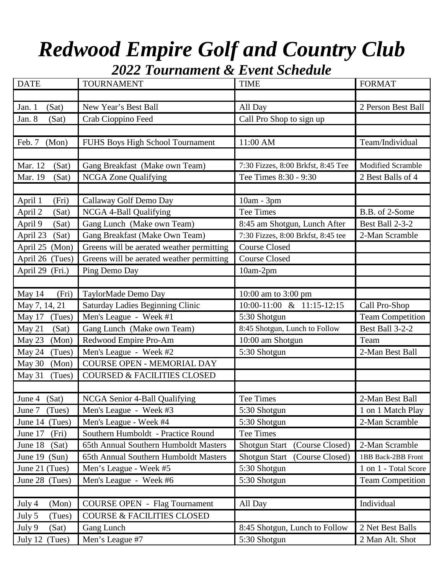## *Redwood Empire Golf and Country Club*

*2022 Tournament & Event Schedule*

| <b>DATE</b>        | <b>TOURNAMENT</b>                         | <b>TIME</b>                             | <b>FORMAT</b>            |
|--------------------|-------------------------------------------|-----------------------------------------|--------------------------|
|                    |                                           |                                         |                          |
| Jan. 1<br>(Sat)    | New Year's Best Ball                      | All Day                                 | 2 Person Best Ball       |
| Jan. 8<br>(Sat)    | Crab Cioppino Feed                        | Call Pro Shop to sign up                |                          |
|                    |                                           |                                         |                          |
| (Mon)<br>Feb. 7    | FUHS Boys High School Tournament          | 11:00 AM                                | Team/Individual          |
|                    |                                           |                                         |                          |
| Mar. 12<br>(Sat)   | Gang Breakfast (Make own Team)            | 7:30 Fizzes, 8:00 Brkfst, 8:45 Tee      | <b>Modified Scramble</b> |
| Mar. 19<br>(Sat)   | <b>NCGA Zone Qualifying</b>               | Tee Times 8:30 - 9:30                   | 2 Best Balls of 4        |
|                    |                                           |                                         |                          |
| (Fri)<br>April 1   | Callaway Golf Demo Day                    | 10am - 3pm                              |                          |
| April 2<br>(Sat)   | NCGA 4-Ball Qualifying                    | Tee Times                               | B.B. of 2-Some           |
| April 9<br>(Sat)   | Gang Lunch (Make own Team)                | 8:45 am Shotgun, Lunch After            | Best Ball 2-3-2          |
| April 23<br>(Sat)  | Gang Breakfast (Make Own Team)            | 7:30 Fizzes, 8:00 Brkfst, 8:45 tee      | 2-Man Scramble           |
| (Mon)<br>April 25  | Greens will be aerated weather permitting | <b>Course Closed</b>                    |                          |
| April 26<br>(Tues) | Greens will be aerated weather permitting | <b>Course Closed</b>                    |                          |
| April 29<br>(Fri.) | Ping Demo Day                             | 10am-2pm                                |                          |
|                    |                                           |                                         |                          |
| May 14<br>(Fri)    | TaylorMade Demo Day                       | 10:00 am to 3:00 pm                     |                          |
| May 7, 14, 21      | Saturday Ladies Beginning Clinic          | 10:00-11:00 & 11:15-12:15               | Call Pro-Shop            |
| (Tues)<br>May 17   | Men's League - Week #1                    | 5:30 Shotgun                            | <b>Team Competition</b>  |
| (Sat)<br>May 21    | Gang Lunch (Make own Team)                | 8:45 Shotgun, Lunch to Follow           | Best Ball 3-2-2          |
| May 23<br>(Mon)    | Redwood Empire Pro-Am                     | 10:00 am Shotgun                        | Team                     |
| May 24<br>(Tues)   | Men's League - Week #2                    | 5:30 Shotgun                            | 2-Man Best Ball          |
| May 30<br>(Mon)    | COURSE OPEN - MEMORIAL DAY                |                                         |                          |
| May 31<br>(Tues)   | <b>COURSED &amp; FACILITIES CLOSED</b>    |                                         |                          |
|                    |                                           |                                         |                          |
| June 4 $(Sat)$     | NCGA Senior 4-Ball Qualifying             | Tee Times                               | 2-Man Best Ball          |
| June 7 (Tues)      | Men's League - Week #3                    | 5:30 Shotgun                            | 1 on 1 Match Play        |
| June 14 (Tues)     | Men's League - Week #4                    | 5:30 Shotgun                            | 2-Man Scramble           |
| June 17<br>(Fri)   | Southern Humboldt - Practice Round        | Tee Times                               |                          |
| (Sat)<br>June 18   | 65th Annual Southern Humboldt Masters     | Shotgun Start (Course Closed)           | 2-Man Scramble           |
| June $19$ (Sun)    | 65th Annual Southern Humboldt Masters     | <b>Shotgun Start</b><br>(Course Closed) | 1BB Back-2BB Front       |
| June 21 (Tues)     |                                           | 5:30 Shotgun                            | 1 on 1 - Total Score     |
|                    | Men's League - Week #5                    |                                         |                          |
| June 28 (Tues)     | Men's League - Week #6                    | 5:30 Shotgun                            | <b>Team Competition</b>  |
|                    |                                           |                                         |                          |
| (Mon)<br>July 4    | <b>COURSE OPEN - Flag Tournament</b>      | All Day                                 | Individual               |
| July 5<br>(Tues)   | <b>COURSE &amp; FACILITIES CLOSED</b>     |                                         |                          |
| July 9<br>(Sat)    | Gang Lunch                                | 8:45 Shotgun, Lunch to Follow           | 2 Net Best Balls         |